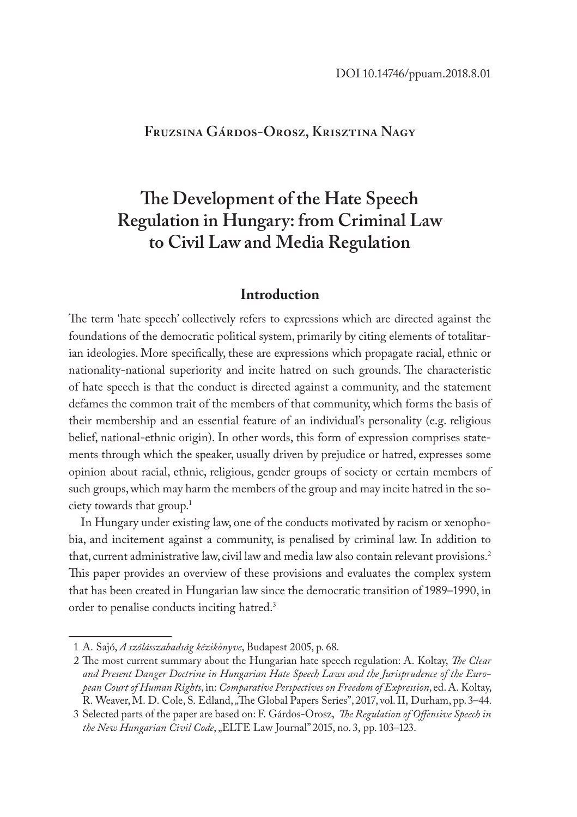# **Fruzsina Gárdos-Orosz, Krisztina Nagy**

# **The Development of the Hate Speech Regulation in Hungary: from Criminal Law to Civil Law and Media Regulation**

## **Introduction**

The term 'hate speech' collectively refers to expressions which are directed against the foundations of the democratic political system, primarily by citing elements of totalitarian ideologies. More specifically, these are expressions which propagate racial, ethnic or nationality-national superiority and incite hatred on such grounds. The characteristic of hate speech is that the conduct is directed against a community, and the statement defames the common trait of the members of that community, which forms the basis of their membership and an essential feature of an individual's personality (e.g. religious belief, national-ethnic origin). In other words, this form of expression comprises statements through which the speaker, usually driven by prejudice or hatred, expresses some opinion about racial, ethnic, religious, gender groups of society or certain members of such groups, which may harm the members of the group and may incite hatred in the society towards that group.1

In Hungary under existing law, one of the conducts motivated by racism or xenophobia, and incitement against a community, is penalised by criminal law. In addition to that, current administrative law, civil law and media law also contain relevant provisions.<sup>2</sup> This paper provides an overview of these provisions and evaluates the complex system that has been created in Hungarian law since the democratic transition of 1989–1990, in order to penalise conducts inciting hatred.3

<sup>1</sup> A. Sajó, *A szólásszabadság kézikönyve*, Budapest 2005, p. 68.

<sup>2</sup> The most current summary about the Hungarian hate speech regulation: A. Koltay, *The Clear and Present Danger Doctrine in Hungarian Hate Speech Laws and the Jurisprudence of the European Court of Human Rights*, in: *Comparative Perspectives on Freedom of Expression*, ed. A. Koltay, R. Weaver, M. D. Cole, S. Edland, "The Global Papers Series", 2017, vol. II, Durham, pp. 3–44.

<sup>3</sup> Selected parts of the paper are based on: F. Gárdos-Orosz, *The Regulation of Offensive Speech in the New Hungarian Civil Code*, "ELTE Law Journal" 2015, no. 3, pp. 103–123.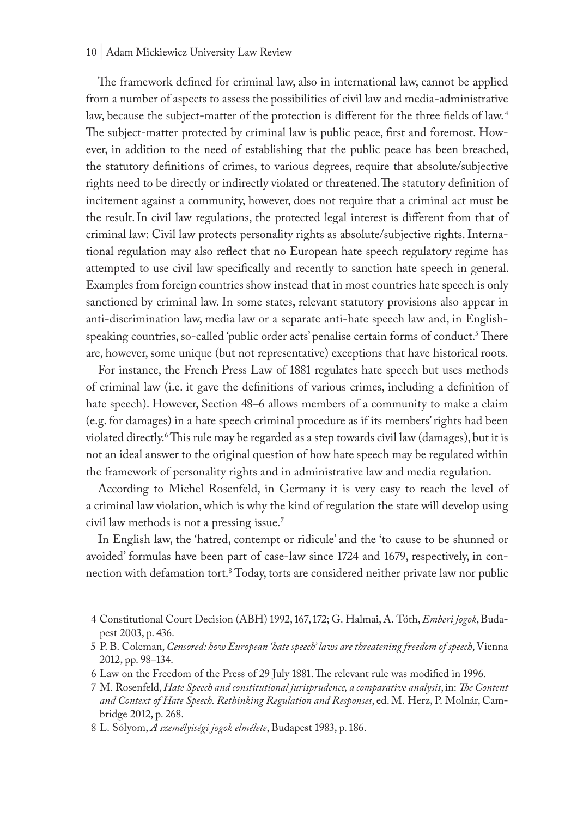#### 10 | Adam Mickiewicz University Law Review

The framework defined for criminal law, also in international law, cannot be applied from a number of aspects to assess the possibilities of civil law and media-administrative law, because the subject-matter of the protection is different for the three fields of law.<sup>4</sup> The subject-matter protected by criminal law is public peace, first and foremost. However, in addition to the need of establishing that the public peace has been breached, the statutory definitions of crimes, to various degrees, require that absolute/subjective rights need to be directly or indirectly violated or threatened.The statutory definition of incitement against a community, however, does not require that a criminal act must be the result.In civil law regulations, the protected legal interest is different from that of criminal law: Civil law protects personality rights as absolute/subjective rights. International regulation may also reflect that no European hate speech regulatory regime has attempted to use civil law specifically and recently to sanction hate speech in general. Examples from foreign countries show instead that in most countries hate speech is only sanctioned by criminal law. In some states, relevant statutory provisions also appear in anti-discrimination law, media law or a separate anti-hate speech law and, in Englishspeaking countries, so-called 'public order acts' penalise certain forms of conduct.<sup>5</sup> There are, however, some unique (but not representative) exceptions that have historical roots.

For instance, the French Press Law of 1881 regulates hate speech but uses methods of criminal law (i.e. it gave the definitions of various crimes, including a definition of hate speech). However, Section 48–6 allows members of a community to make a claim (e.g. for damages) in a hate speech criminal procedure as if its members' rights had been violated directly.6 This rule may be regarded as a step towards civil law (damages), but it is not an ideal answer to the original question of how hate speech may be regulated within the framework of personality rights and in administrative law and media regulation.

According to Michel Rosenfeld, in Germany it is very easy to reach the level of a criminal law violation, which is why the kind of regulation the state will develop using civil law methods is not a pressing issue.7

In English law, the 'hatred, contempt or ridicule' and the 'to cause to be shunned or avoided' formulas have been part of case-law since 1724 and 1679, respectively, in connection with defamation tort.8 Today, torts are considered neither private law nor public

<sup>4</sup> Constitutional Court Decision (ABH) 1992, 167, 172; G. Halmai, A. Tóth, *Emberi jogok*, Budapest 2003, p. 436.

<sup>5</sup> P. B. Coleman, *Censored: how European 'hate speech' laws are threatening freedom of speech*, Vienna 2012, pp. 98–134.

<sup>6</sup> Law on the Freedom of the Press of 29 July 1881. The relevant rule was modified in 1996.

<sup>7</sup> M. Rosenfeld, *Hate Speech and constitutional jurisprudence, a comparative analysis*, in: *The Content and Context of Hate Speech. Rethinking Regulation and Responses*, ed. M. Herz, P. Molnár, Cambridge 2012, p. 268.

<sup>8</sup> L. Sólyom, *A személyiségi jogok elmélete*, Budapest 1983, p. 186.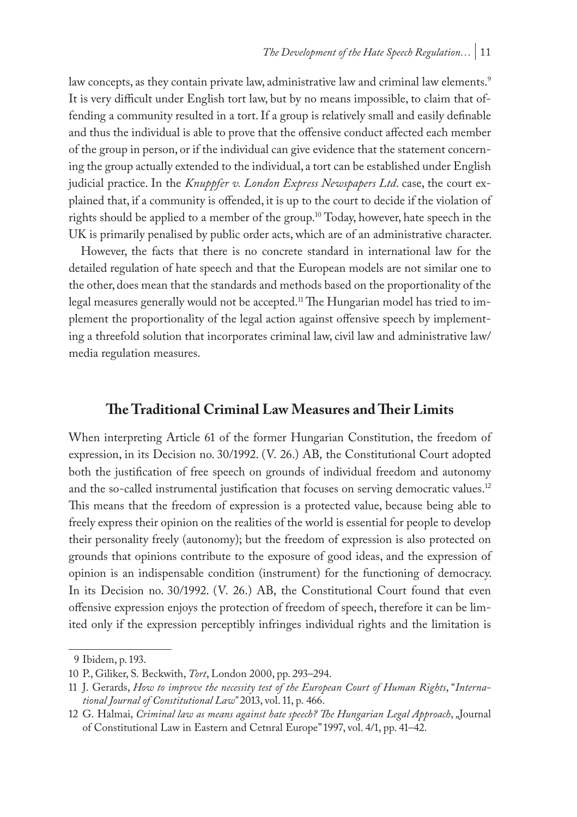law concepts, as they contain private law, administrative law and criminal law elements.<sup>9</sup> It is very difficult under English tort law, but by no means impossible, to claim that offending a community resulted in a tort. If a group is relatively small and easily definable and thus the individual is able to prove that the offensive conduct affected each member of the group in person, or if the individual can give evidence that the statement concerning the group actually extended to the individual, a tort can be established under English judicial practice. In the *Knuppfer v. London Express Newspapers Ltd*. case, the court explained that, if a community is offended, it is up to the court to decide if the violation of rights should be applied to a member of the group.10 Today, however, hate speech in the UK is primarily penalised by public order acts, which are of an administrative character.

However, the facts that there is no concrete standard in international law for the detailed regulation of hate speech and that the European models are not similar one to the other, does mean that the standards and methods based on the proportionality of the legal measures generally would not be accepted.<sup>11</sup> The Hungarian model has tried to implement the proportionality of the legal action against offensive speech by implementing a threefold solution that incorporates criminal law, civil law and administrative law/ media regulation measures.

## **The Traditional Criminal Law Measures and Their Limits**

When interpreting Article 61 of the former Hungarian Constitution, the freedom of expression, in its Decision no. 30/1992. (V. 26.) AB, the Constitutional Court adopted both the justification of free speech on grounds of individual freedom and autonomy and the so-called instrumental justification that focuses on serving democratic values.<sup>12</sup> This means that the freedom of expression is a protected value, because being able to freely express their opinion on the realities of the world is essential for people to develop their personality freely (autonomy); but the freedom of expression is also protected on grounds that opinions contribute to the exposure of good ideas, and the expression of opinion is an indispensable condition (instrument) for the functioning of democracy. In its Decision no. 30/1992. (V. 26.) AB, the Constitutional Court found that even offensive expression enjoys the protection of freedom of speech, therefore it can be limited only if the expression perceptibly infringes individual rights and the limitation is

<sup>9</sup> Ibidem, p. 193.

<sup>10</sup> P., Giliker, S. Beckwith, *Tort*, London 2000, pp. 293–294.

<sup>11</sup> J. Gerards, *How to improve the necessity test of the European Court of Human Rights*, "*International Journal of Constitutional Law"* 2013, vol. 11, p. 466.

<sup>12</sup> G. Halmai, *Criminal law as means against hate speech? The Hungarian Legal Approach*, "Journal of Constitutional Law in Eastern and Cetnral Europe" 1997, vol. 4/1, pp. 41–42.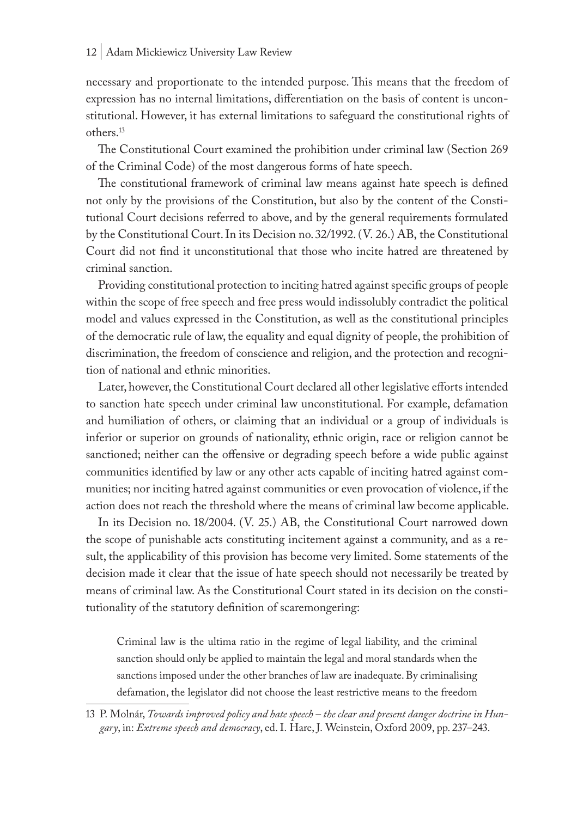necessary and proportionate to the intended purpose. This means that the freedom of expression has no internal limitations, differentiation on the basis of content is unconstitutional. However, it has external limitations to safeguard the constitutional rights of others.13

The Constitutional Court examined the prohibition under criminal law (Section 269 of the Criminal Code) of the most dangerous forms of hate speech.

The constitutional framework of criminal law means against hate speech is defined not only by the provisions of the Constitution, but also by the content of the Constitutional Court decisions referred to above, and by the general requirements formulated by the Constitutional Court. In its Decision no. 32/1992. (V. 26.) AB, the Constitutional Court did not find it unconstitutional that those who incite hatred are threatened by criminal sanction.

Providing constitutional protection to inciting hatred against specific groups of people within the scope of free speech and free press would indissolubly contradict the political model and values expressed in the Constitution, as well as the constitutional principles of the democratic rule of law, the equality and equal dignity of people, the prohibition of discrimination, the freedom of conscience and religion, and the protection and recognition of national and ethnic minorities.

Later, however, the Constitutional Court declared all other legislative efforts intended to sanction hate speech under criminal law unconstitutional. For example, defamation and humiliation of others, or claiming that an individual or a group of individuals is inferior or superior on grounds of nationality, ethnic origin, race or religion cannot be sanctioned; neither can the offensive or degrading speech before a wide public against communities identified by law or any other acts capable of inciting hatred against communities; nor inciting hatred against communities or even provocation of violence, if the action does not reach the threshold where the means of criminal law become applicable.

In its Decision no. 18/2004. (V. 25.) AB, the Constitutional Court narrowed down the scope of punishable acts constituting incitement against a community, and as a result, the applicability of this provision has become very limited. Some statements of the decision made it clear that the issue of hate speech should not necessarily be treated by means of criminal law. As the Constitutional Court stated in its decision on the constitutionality of the statutory definition of scaremongering:

Criminal law is the ultima ratio in the regime of legal liability, and the criminal sanction should only be applied to maintain the legal and moral standards when the sanctions imposed under the other branches of law are inadequate. By criminalising defamation, the legislator did not choose the least restrictive means to the freedom

<sup>13</sup> P. Molnár, *Towards improved policy and hate speech – the clear and present danger doctrine in Hungary*, in: *Extreme speech and democracy*, ed. I. Hare, J. Weinstein, Oxford 2009, pp. 237–243.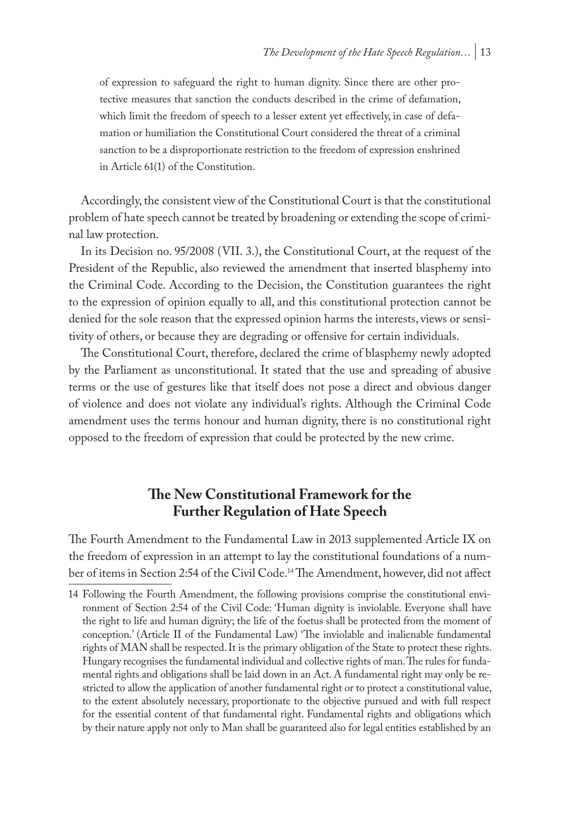of expression to safeguard the right to human dignity. Since there are other protective measures that sanction the conducts described in the crime of defamation, which limit the freedom of speech to a lesser extent yet effectively, in case of defamation or humiliation the Constitutional Court considered the threat of a criminal sanction to be a disproportionate restriction to the freedom of expression enshrined in Article 61(1) of the Constitution.

Accordingly, the consistent view of the Constitutional Court is that the constitutional problem of hate speech cannot be treated by broadening or extending the scope of criminal law protection.

In its Decision no. 95/2008 (VII. 3.), the Constitutional Court, at the request of the President of the Republic, also reviewed the amendment that inserted blasphemy into the Criminal Code. According to the Decision, the Constitution guarantees the right to the expression of opinion equally to all, and this constitutional protection cannot be denied for the sole reason that the expressed opinion harms the interests, views or sensitivity of others, or because they are degrading or offensive for certain individuals.

The Constitutional Court, therefore, declared the crime of blasphemy newly adopted by the Parliament as unconstitutional. It stated that the use and spreading of abusive terms or the use of gestures like that itself does not pose a direct and obvious danger of violence and does not violate any individual's rights. Although the Criminal Code amendment uses the terms honour and human dignity, there is no constitutional right opposed to the freedom of expression that could be protected by the new crime.

# **The New Constitutional Framework for the Further Regulation of Hate Speech**

The Fourth Amendment to the Fundamental Law in 2013 supplemented Article IX on the freedom of expression in an attempt to lay the constitutional foundations of a number of items in Section 2:54 of the Civil Code.14 The Amendment, however, did not affect

<sup>14</sup> Following the Fourth Amendment, the following provisions comprise the constitutional environment of Section 2:54 of the Civil Code: 'Human dignity is inviolable. Everyone shall have the right to life and human dignity; the life of the foetus shall be protected from the moment of conception.' (Article II of the Fundamental Law) 'The inviolable and inalienable fundamental rights of MAN shall be respected. It is the primary obligation of the State to protect these rights. Hungary recognises the fundamental individual and collective rights of man. The rules for fundamental rights and obligations shall be laid down in an Act. A fundamental right may only be restricted to allow the application of another fundamental right or to protect a constitutional value, to the extent absolutely necessary, proportionate to the objective pursued and with full respect for the essential content of that fundamental right. Fundamental rights and obligations which by their nature apply not only to Man shall be guaranteed also for legal entities established by an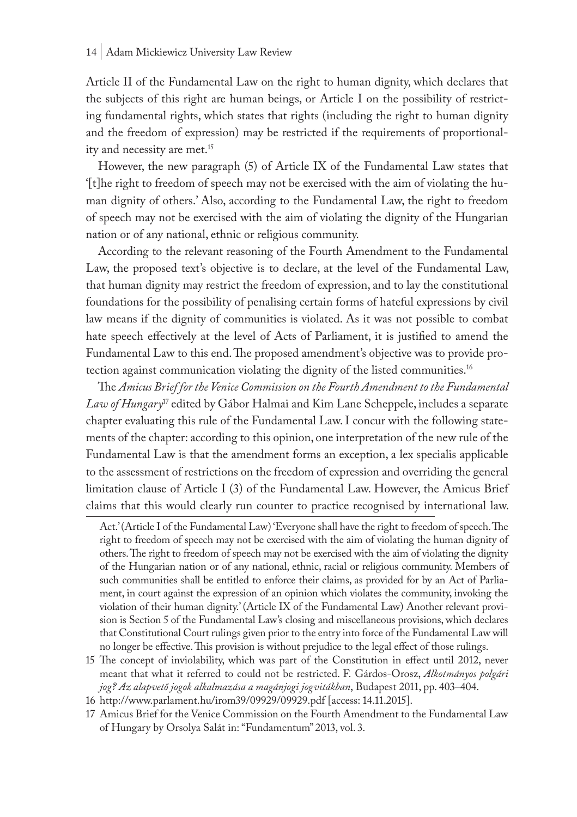Article II of the Fundamental Law on the right to human dignity, which declares that the subjects of this right are human beings, or Article I on the possibility of restricting fundamental rights, which states that rights (including the right to human dignity and the freedom of expression) may be restricted if the requirements of proportionality and necessity are met.<sup>15</sup>

However, the new paragraph (5) of Article IX of the Fundamental Law states that '[t]he right to freedom of speech may not be exercised with the aim of violating the human dignity of others.' Also, according to the Fundamental Law, the right to freedom of speech may not be exercised with the aim of violating the dignity of the Hungarian nation or of any national, ethnic or religious community.

According to the relevant reasoning of the Fourth Amendment to the Fundamental Law, the proposed text's objective is to declare, at the level of the Fundamental Law, that human dignity may restrict the freedom of expression, and to lay the constitutional foundations for the possibility of penalising certain forms of hateful expressions by civil law means if the dignity of communities is violated. As it was not possible to combat hate speech effectively at the level of Acts of Parliament, it is justified to amend the Fundamental Law to this end. The proposed amendment's objective was to provide protection against communication violating the dignity of the listed communities.<sup>16</sup>

The *Amicus Brief for the Venice Commission on the Fourth Amendment to the Fundamental Law of Hungary*17 edited by Gábor Halmai and Kim Lane Scheppele, includes a separate chapter evaluating this rule of the Fundamental Law. I concur with the following statements of the chapter: according to this opinion, one interpretation of the new rule of the Fundamental Law is that the amendment forms an exception, a lex specialis applicable to the assessment of restrictions on the freedom of expression and overriding the general limitation clause of Article I (3) of the Fundamental Law. However, the Amicus Brief claims that this would clearly run counter to practice recognised by international law.

- 15 The concept of inviolability, which was part of the Constitution in effect until 2012, never meant that what it referred to could not be restricted. F. Gárdos-Orosz, *Alkotmányos polgári jog? Az alapvető jogok alkalmazása a magánjogi jogvitákban*, Budapest 2011, pp. 403–404.
- 16 http://www.parlament.hu/irom39/09929/09929.pdf [access: 14.11.2015].
- 17 Amicus Brief for the Venice Commission on the Fourth Amendment to the Fundamental Law of Hungary by Orsolya Salát in: "Fundamentum" 2013, vol. 3.

Act.' (Article I of the Fundamental Law) 'Everyone shall have the right to freedom of speech. The right to freedom of speech may not be exercised with the aim of violating the human dignity of others. The right to freedom of speech may not be exercised with the aim of violating the dignity of the Hungarian nation or of any national, ethnic, racial or religious community. Members of such communities shall be entitled to enforce their claims, as provided for by an Act of Parliament, in court against the expression of an opinion which violates the community, invoking the violation of their human dignity.' (Article IX of the Fundamental Law) Another relevant provision is Section 5 of the Fundamental Law's closing and miscellaneous provisions, which declares that Constitutional Court rulings given prior to the entry into force of the Fundamental Law will no longer be effective. This provision is without prejudice to the legal effect of those rulings.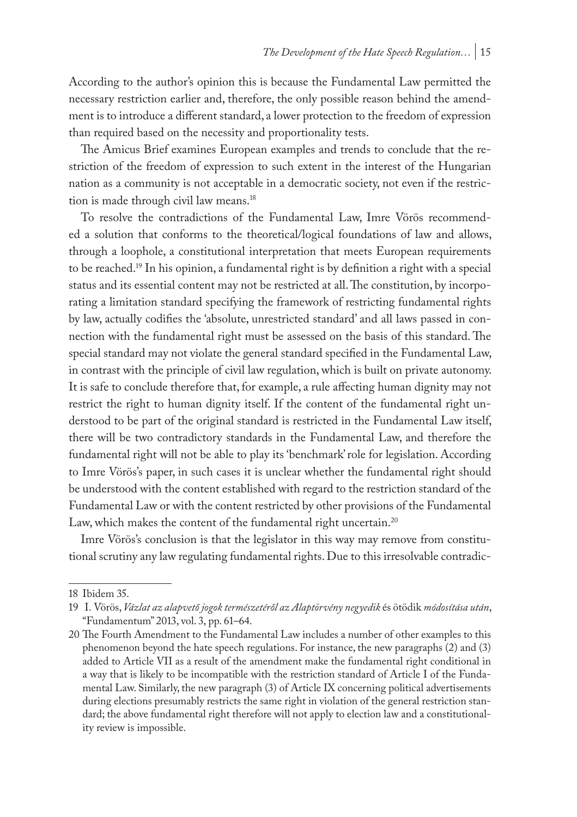According to the author's opinion this is because the Fundamental Law permitted the necessary restriction earlier and, therefore, the only possible reason behind the amendment is to introduce a different standard, a lower protection to the freedom of expression than required based on the necessity and proportionality tests.

The Amicus Brief examines European examples and trends to conclude that the restriction of the freedom of expression to such extent in the interest of the Hungarian nation as a community is not acceptable in a democratic society, not even if the restriction is made through civil law means.18

To resolve the contradictions of the Fundamental Law, Imre Vörös recommended a solution that conforms to the theoretical/logical foundations of law and allows, through a loophole, a constitutional interpretation that meets European requirements to be reached.19 In his opinion, a fundamental right is by definition a right with a special status and its essential content may not be restricted at all. The constitution, by incorporating a limitation standard specifying the framework of restricting fundamental rights by law, actually codifies the 'absolute, unrestricted standard' and all laws passed in connection with the fundamental right must be assessed on the basis of this standard. The special standard may not violate the general standard specified in the Fundamental Law, in contrast with the principle of civil law regulation, which is built on private autonomy. It is safe to conclude therefore that, for example, a rule affecting human dignity may not restrict the right to human dignity itself. If the content of the fundamental right understood to be part of the original standard is restricted in the Fundamental Law itself, there will be two contradictory standards in the Fundamental Law, and therefore the fundamental right will not be able to play its 'benchmark' role for legislation. According to Imre Vörös's paper, in such cases it is unclear whether the fundamental right should be understood with the content established with regard to the restriction standard of the Fundamental Law or with the content restricted by other provisions of the Fundamental Law, which makes the content of the fundamental right uncertain.<sup>20</sup>

Imre Vörös's conclusion is that the legislator in this way may remove from constitutional scrutiny any law regulating fundamental rights. Due to this irresolvable contradic-

<sup>18</sup> Ibidem 35.

<sup>19</sup> I. Vörös, *Vázlat az alapvető jogok természetéről az Alaptörvény negyedik* és ötödik *módosítása után*, "Fundamentum" 2013, vol. 3, pp. 61–64.

<sup>20</sup> The Fourth Amendment to the Fundamental Law includes a number of other examples to this phenomenon beyond the hate speech regulations. For instance, the new paragraphs (2) and (3) added to Article VII as a result of the amendment make the fundamental right conditional in a way that is likely to be incompatible with the restriction standard of Article I of the Fundamental Law. Similarly, the new paragraph (3) of Article IX concerning political advertisements during elections presumably restricts the same right in violation of the general restriction standard; the above fundamental right therefore will not apply to election law and a constitutionality review is impossible.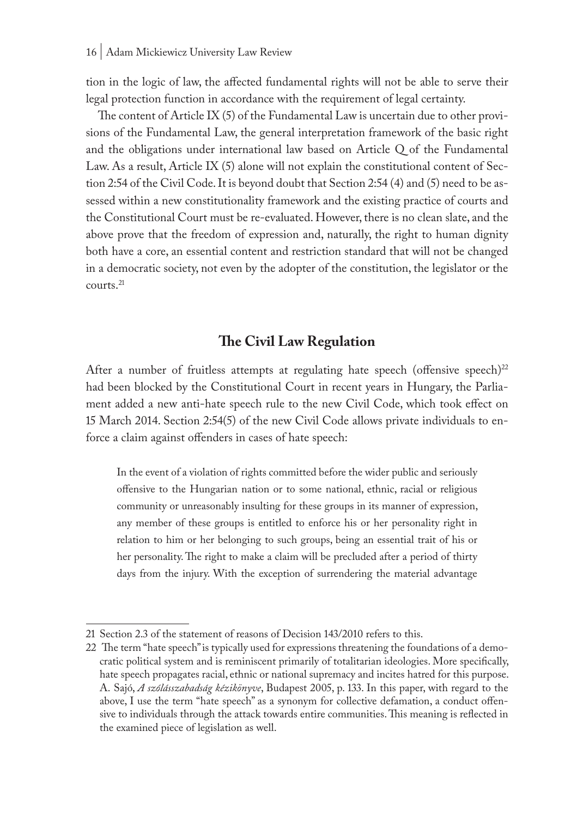tion in the logic of law, the affected fundamental rights will not be able to serve their legal protection function in accordance with the requirement of legal certainty.

The content of Article IX (5) of the Fundamental Law is uncertain due to other provisions of the Fundamental Law, the general interpretation framework of the basic right and the obligations under international law based on Article Q of the Fundamental Law. As a result, Article IX (5) alone will not explain the constitutional content of Section 2:54 of the Civil Code. It is beyond doubt that Section 2:54 (4) and (5) need to be assessed within a new constitutionality framework and the existing practice of courts and the Constitutional Court must be re-evaluated. However, there is no clean slate, and the above prove that the freedom of expression and, naturally, the right to human dignity both have a core, an essential content and restriction standard that will not be changed in a democratic society, not even by the adopter of the constitution, the legislator or the courts.21

# **The Civil Law Regulation**

After a number of fruitless attempts at regulating hate speech (offensive speech) $^{22}$ had been blocked by the Constitutional Court in recent years in Hungary, the Parliament added a new anti-hate speech rule to the new Civil Code, which took effect on 15 March 2014. Section 2:54(5) of the new Civil Code allows private individuals to enforce a claim against offenders in cases of hate speech:

In the event of a violation of rights committed before the wider public and seriously offensive to the Hungarian nation or to some national, ethnic, racial or religious community or unreasonably insulting for these groups in its manner of expression, any member of these groups is entitled to enforce his or her personality right in relation to him or her belonging to such groups, being an essential trait of his or her personality. The right to make a claim will be precluded after a period of thirty days from the injury. With the exception of surrendering the material advantage

<sup>21</sup> Section 2.3 of the statement of reasons of Decision 143/2010 refers to this.

<sup>22</sup> The term "hate speech" is typically used for expressions threatening the foundations of a democratic political system and is reminiscent primarily of totalitarian ideologies. More specifically, hate speech propagates racial, ethnic or national supremacy and incites hatred for this purpose. A. Sajó, *A szólásszabadság kézikönyve*, Budapest 2005, p. 133. In this paper, with regard to the above, I use the term "hate speech" as a synonym for collective defamation, a conduct offensive to individuals through the attack towards entire communities. This meaning is reflected in the examined piece of legislation as well.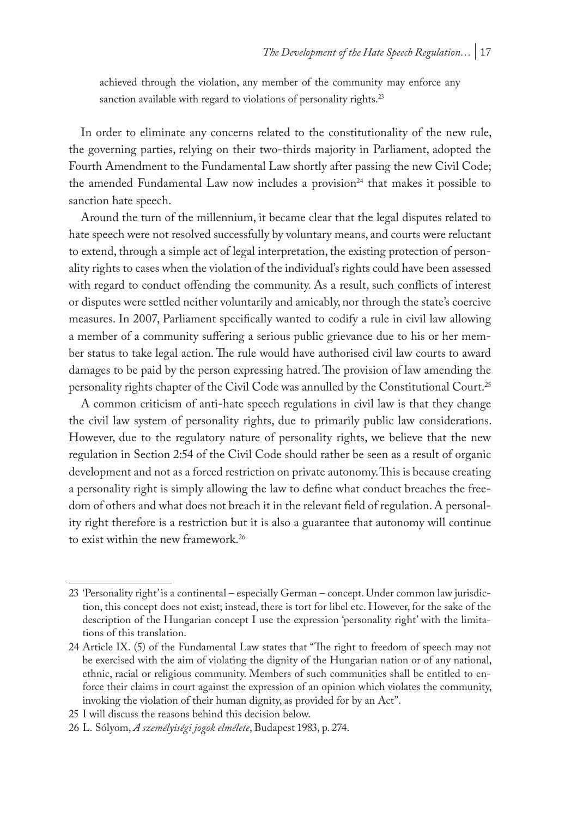achieved through the violation, any member of the community may enforce any sanction available with regard to violations of personality rights.<sup>23</sup>

In order to eliminate any concerns related to the constitutionality of the new rule, the governing parties, relying on their two-thirds majority in Parliament, adopted the Fourth Amendment to the Fundamental Law shortly after passing the new Civil Code; the amended Fundamental Law now includes a provision<sup>24</sup> that makes it possible to sanction hate speech.

Around the turn of the millennium, it became clear that the legal disputes related to hate speech were not resolved successfully by voluntary means, and courts were reluctant to extend, through a simple act of legal interpretation, the existing protection of personality rights to cases when the violation of the individual's rights could have been assessed with regard to conduct offending the community. As a result, such conflicts of interest or disputes were settled neither voluntarily and amicably, nor through the state's coercive measures. In 2007, Parliament specifically wanted to codify a rule in civil law allowing a member of a community suffering a serious public grievance due to his or her member status to take legal action. The rule would have authorised civil law courts to award damages to be paid by the person expressing hatred. The provision of law amending the personality rights chapter of the Civil Code was annulled by the Constitutional Court.25

A common criticism of anti-hate speech regulations in civil law is that they change the civil law system of personality rights, due to primarily public law considerations. However, due to the regulatory nature of personality rights, we believe that the new regulation in Section 2:54 of the Civil Code should rather be seen as a result of organic development and not as a forced restriction on private autonomy. This is because creating a personality right is simply allowing the law to define what conduct breaches the freedom of others and what does not breach it in the relevant field of regulation. A personality right therefore is a restriction but it is also a guarantee that autonomy will continue to exist within the new framework.26

<sup>23</sup> 'Personality right' is a continental – especially German – concept. Under common law jurisdiction, this concept does not exist; instead, there is tort for libel etc. However, for the sake of the description of the Hungarian concept I use the expression 'personality right' with the limitations of this translation.

<sup>24</sup> Article IX. (5) of the Fundamental Law states that "The right to freedom of speech may not be exercised with the aim of violating the dignity of the Hungarian nation or of any national, ethnic, racial or religious community. Members of such communities shall be entitled to enforce their claims in court against the expression of an opinion which violates the community, invoking the violation of their human dignity, as provided for by an Act".

<sup>25</sup> I will discuss the reasons behind this decision below.

<sup>26</sup> L. Sólyom, *A személyiségi jogok elmélete*, Budapest 1983, p. 274.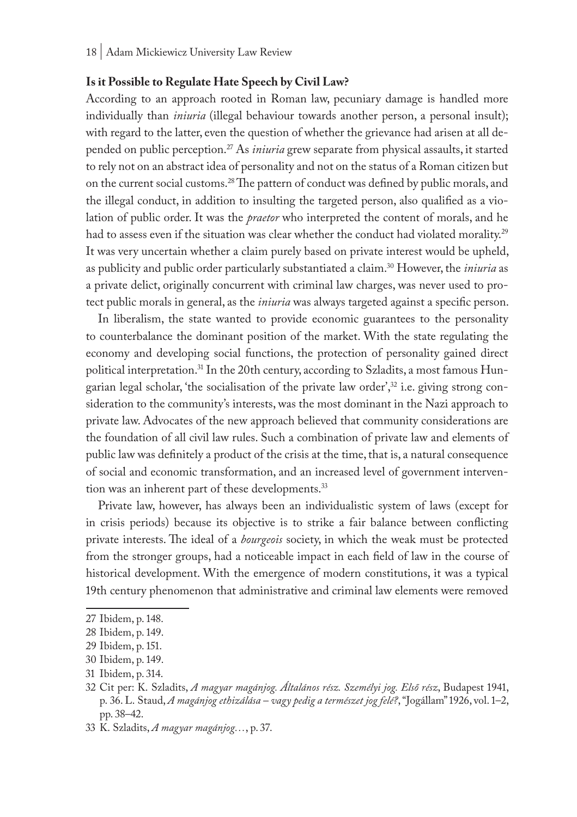#### **Is it Possible to Regulate Hate Speech by Civil Law?**

According to an approach rooted in Roman law, pecuniary damage is handled more individually than *iniuria* (illegal behaviour towards another person, a personal insult); with regard to the latter, even the question of whether the grievance had arisen at all depended on public perception.27 As *iniuria* grew separate from physical assaults, it started to rely not on an abstract idea of personality and not on the status of a Roman citizen but on the current social customs.28 The pattern of conduct was defined by public morals, and the illegal conduct, in addition to insulting the targeted person, also qualified as a violation of public order. It was the *praetor* who interpreted the content of morals, and he had to assess even if the situation was clear whether the conduct had violated morality.<sup>29</sup> It was very uncertain whether a claim purely based on private interest would be upheld, as publicity and public order particularly substantiated a claim.30 However, the *iniuria* as a private delict, originally concurrent with criminal law charges, was never used to protect public morals in general, as the *iniuria* was always targeted against a specific person.

In liberalism, the state wanted to provide economic guarantees to the personality to counterbalance the dominant position of the market. With the state regulating the economy and developing social functions, the protection of personality gained direct political interpretation.<sup>31</sup> In the 20th century, according to Szladits, a most famous Hungarian legal scholar, 'the socialisation of the private law order', $32$  i.e. giving strong consideration to the community's interests, was the most dominant in the Nazi approach to private law. Advocates of the new approach believed that community considerations are the foundation of all civil law rules. Such a combination of private law and elements of public law was definitely a product of the crisis at the time, that is, a natural consequence of social and economic transformation, and an increased level of government intervention was an inherent part of these developments.<sup>33</sup>

Private law, however, has always been an individualistic system of laws (except for in crisis periods) because its objective is to strike a fair balance between conflicting private interests. The ideal of a *bourgeois* society, in which the weak must be protected from the stronger groups, had a noticeable impact in each field of law in the course of historical development. With the emergence of modern constitutions, it was a typical 19th century phenomenon that administrative and criminal law elements were removed

<sup>27</sup> Ibidem, p. 148.

<sup>28</sup> Ibidem, p. 149.

<sup>29</sup> Ibidem, p. 151.

<sup>30</sup> Ibidem, p. 149.

<sup>31</sup> Ibidem, p. 314.

<sup>32</sup> Cit per: K. Szladits, *A magyar magánjog. Általános rész. Személyi jog. Első rész*, Budapest 1941, p. 36. L. Staud, *A magánjog ethizálása – vagy pedig a természet jog felé?*, "Jogállam" 1926, vol. 1–2, pp. 38–42.

<sup>33</sup> K. Szladits, *A magyar magánjog…*, p. 37.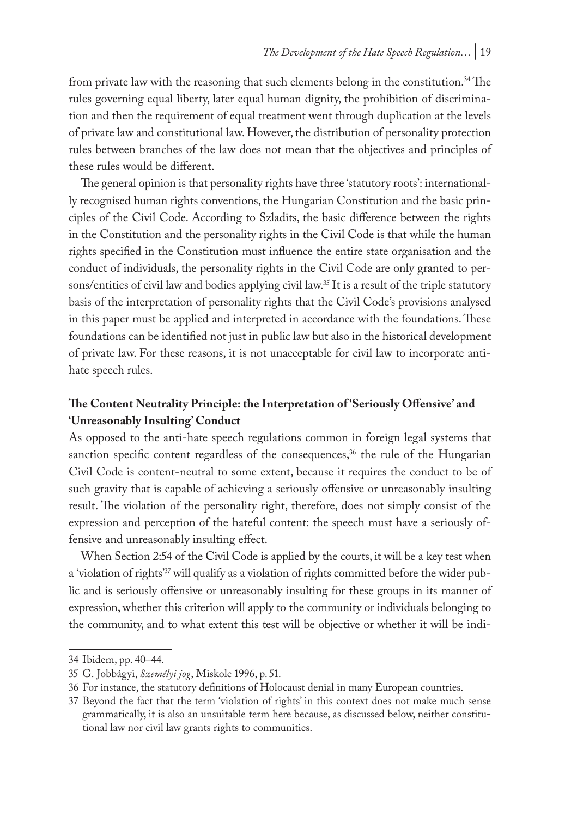from private law with the reasoning that such elements belong in the constitution.<sup>34</sup> The rules governing equal liberty, later equal human dignity, the prohibition of discrimination and then the requirement of equal treatment went through duplication at the levels of private law and constitutional law. However, the distribution of personality protection rules between branches of the law does not mean that the objectives and principles of these rules would be different.

The general opinion is that personality rights have three 'statutory roots': internationally recognised human rights conventions, the Hungarian Constitution and the basic principles of the Civil Code. According to Szladits, the basic difference between the rights in the Constitution and the personality rights in the Civil Code is that while the human rights specified in the Constitution must influence the entire state organisation and the conduct of individuals, the personality rights in the Civil Code are only granted to persons/entities of civil law and bodies applying civil law.<sup>35</sup> It is a result of the triple statutory basis of the interpretation of personality rights that the Civil Code's provisions analysed in this paper must be applied and interpreted in accordance with the foundations. These foundations can be identified not just in public law but also in the historical development of private law. For these reasons, it is not unacceptable for civil law to incorporate antihate speech rules.

# **The Content Neutrality Principle: the Interpretation of 'Seriously Offensive' and 'Unreasonably Insulting' Conduct**

As opposed to the anti-hate speech regulations common in foreign legal systems that sanction specific content regardless of the consequences, $36$  the rule of the Hungarian Civil Code is content-neutral to some extent, because it requires the conduct to be of such gravity that is capable of achieving a seriously offensive or unreasonably insulting result. The violation of the personality right, therefore, does not simply consist of the expression and perception of the hateful content: the speech must have a seriously offensive and unreasonably insulting effect.

When Section 2:54 of the Civil Code is applied by the courts, it will be a key test when a 'violation of rights'<sup>37</sup> will qualify as a violation of rights committed before the wider public and is seriously offensive or unreasonably insulting for these groups in its manner of expression, whether this criterion will apply to the community or individuals belonging to the community, and to what extent this test will be objective or whether it will be indi-

<sup>34</sup> Ibidem, pp. 40–44.

<sup>35</sup> G. Jobbágyi, *Személyi jog*, Miskolc 1996, p. 51.

<sup>36</sup> For instance, the statutory definitions of Holocaust denial in many European countries.

<sup>37</sup> Beyond the fact that the term 'violation of rights' in this context does not make much sense grammatically, it is also an unsuitable term here because, as discussed below, neither constitutional law nor civil law grants rights to communities.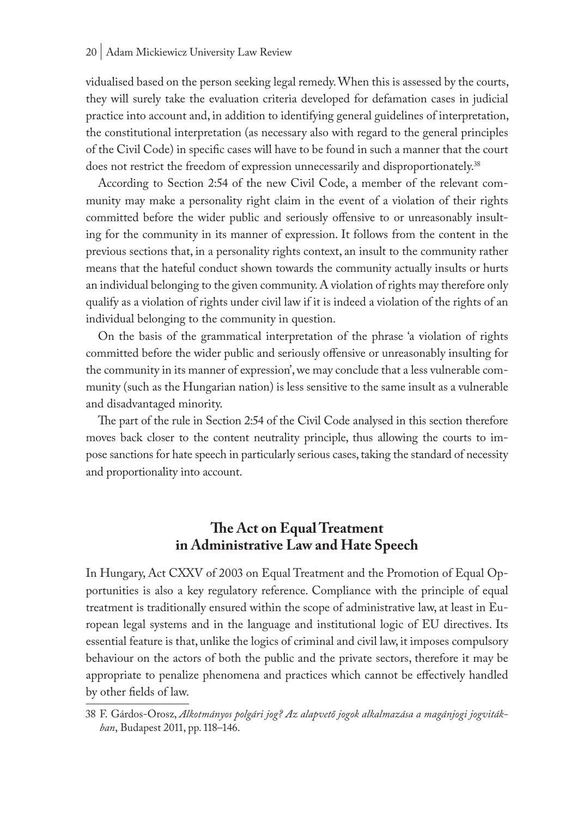#### 20 | Adam Mickiewicz University Law Review

vidualised based on the person seeking legal remedy. When this is assessed by the courts, they will surely take the evaluation criteria developed for defamation cases in judicial practice into account and, in addition to identifying general guidelines of interpretation, the constitutional interpretation (as necessary also with regard to the general principles of the Civil Code) in specific cases will have to be found in such a manner that the court does not restrict the freedom of expression unnecessarily and disproportionately.<sup>38</sup>

According to Section 2:54 of the new Civil Code, a member of the relevant community may make a personality right claim in the event of a violation of their rights committed before the wider public and seriously offensive to or unreasonably insulting for the community in its manner of expression. It follows from the content in the previous sections that, in a personality rights context, an insult to the community rather means that the hateful conduct shown towards the community actually insults or hurts an individual belonging to the given community. A violation of rights may therefore only qualify as a violation of rights under civil law if it is indeed a violation of the rights of an individual belonging to the community in question.

On the basis of the grammatical interpretation of the phrase 'a violation of rights committed before the wider public and seriously offensive or unreasonably insulting for the community in its manner of expression', we may conclude that a less vulnerable community (such as the Hungarian nation) is less sensitive to the same insult as a vulnerable and disadvantaged minority.

The part of the rule in Section 2:54 of the Civil Code analysed in this section therefore moves back closer to the content neutrality principle, thus allowing the courts to impose sanctions for hate speech in particularly serious cases, taking the standard of necessity and proportionality into account.

# **The Act on Equal Treatment in Administrative Law and Hate Speech**

In Hungary, Act CXXV of 2003 on Equal Treatment and the Promotion of Equal Opportunities is also a key regulatory reference. Compliance with the principle of equal treatment is traditionally ensured within the scope of administrative law, at least in European legal systems and in the language and institutional logic of EU directives. Its essential feature is that, unlike the logics of criminal and civil law, it imposes compulsory behaviour on the actors of both the public and the private sectors, therefore it may be appropriate to penalize phenomena and practices which cannot be effectively handled by other fields of law.

<sup>38</sup> F. Gárdos-Orosz, *Alkotmányos polgári jog? Az alapvető jogok alkalmazása a magánjogi jogvitákban*, Budapest 2011, pp. 118–146.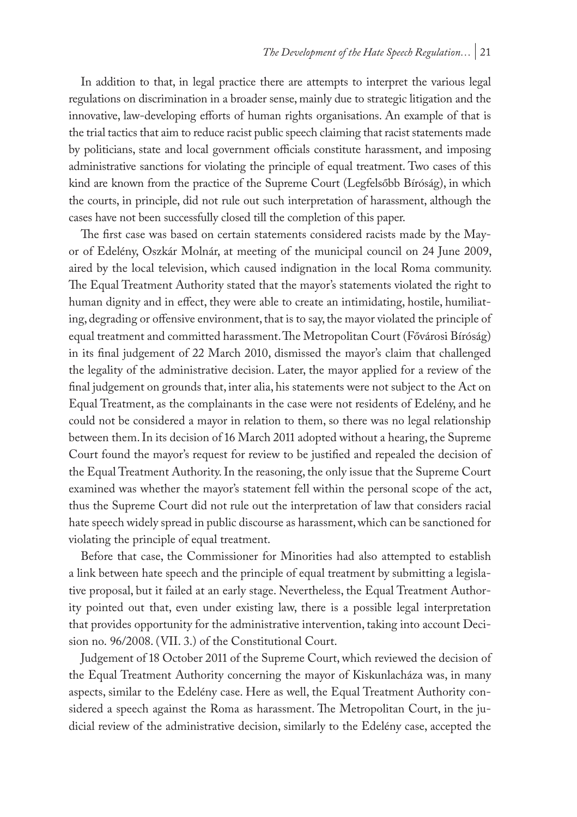In addition to that, in legal practice there are attempts to interpret the various legal regulations on discrimination in a broader sense, mainly due to strategic litigation and the innovative, law-developing efforts of human rights organisations. An example of that is the trial tactics that aim to reduce racist public speech claiming that racist statements made by politicians, state and local government officials constitute harassment, and imposing administrative sanctions for violating the principle of equal treatment. Two cases of this kind are known from the practice of the Supreme Court (Legfelsőbb Bíróság), in which the courts, in principle, did not rule out such interpretation of harassment, although the cases have not been successfully closed till the completion of this paper.

The first case was based on certain statements considered racists made by the Mayor of Edelény, Oszkár Molnár, at meeting of the municipal council on 24 June 2009, aired by the local television, which caused indignation in the local Roma community. The Equal Treatment Authority stated that the mayor's statements violated the right to human dignity and in effect, they were able to create an intimidating, hostile, humiliating, degrading or offensive environment, that is to say, the mayor violated the principle of equal treatment and committed harassment. The Metropolitan Court (Fővárosi Bíróság) in its final judgement of 22 March 2010, dismissed the mayor's claim that challenged the legality of the administrative decision. Later, the mayor applied for a review of the final judgement on grounds that, inter alia, his statements were not subject to the Act on Equal Treatment, as the complainants in the case were not residents of Edelény, and he could not be considered a mayor in relation to them, so there was no legal relationship between them. In its decision of 16 March 2011 adopted without a hearing, the Supreme Court found the mayor's request for review to be justified and repealed the decision of the Equal Treatment Authority. In the reasoning, the only issue that the Supreme Court examined was whether the mayor's statement fell within the personal scope of the act, thus the Supreme Court did not rule out the interpretation of law that considers racial hate speech widely spread in public discourse as harassment, which can be sanctioned for violating the principle of equal treatment.

Before that case, the Commissioner for Minorities had also attempted to establish a link between hate speech and the principle of equal treatment by submitting a legislative proposal, but it failed at an early stage. Nevertheless, the Equal Treatment Authority pointed out that, even under existing law, there is a possible legal interpretation that provides opportunity for the administrative intervention, taking into account Decision no. 96/2008. (VII. 3.) of the Constitutional Court.

Judgement of 18 October 2011 of the Supreme Court, which reviewed the decision of the Equal Treatment Authority concerning the mayor of Kiskunlacháza was, in many aspects, similar to the Edelény case. Here as well, the Equal Treatment Authority considered a speech against the Roma as harassment. The Metropolitan Court, in the judicial review of the administrative decision, similarly to the Edelény case, accepted the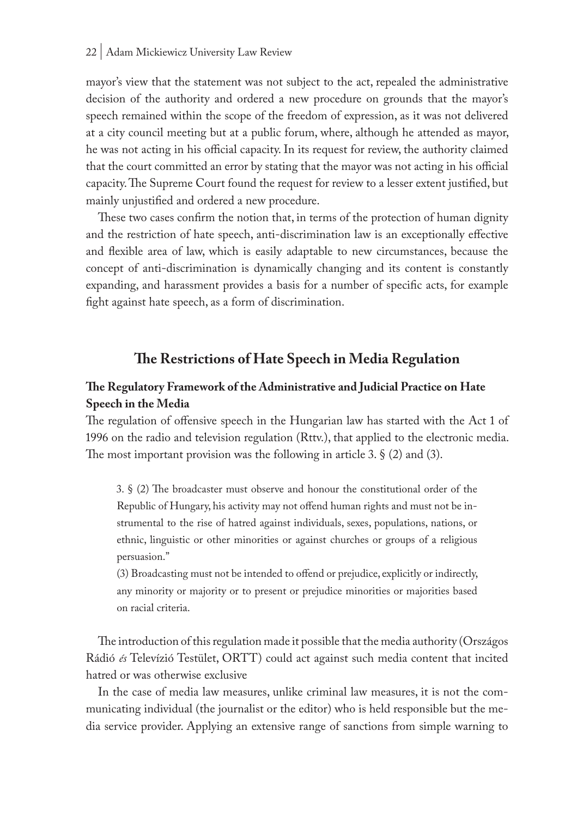mayor's view that the statement was not subject to the act, repealed the administrative decision of the authority and ordered a new procedure on grounds that the mayor's speech remained within the scope of the freedom of expression, as it was not delivered at a city council meeting but at a public forum, where, although he attended as mayor, he was not acting in his official capacity. In its request for review, the authority claimed that the court committed an error by stating that the mayor was not acting in his official capacity. The Supreme Court found the request for review to a lesser extent justified, but mainly unjustified and ordered a new procedure.

These two cases confirm the notion that, in terms of the protection of human dignity and the restriction of hate speech, anti-discrimination law is an exceptionally effective and flexible area of law, which is easily adaptable to new circumstances, because the concept of anti-discrimination is dynamically changing and its content is constantly expanding, and harassment provides a basis for a number of specific acts, for example fight against hate speech, as a form of discrimination.

# **The Restrictions of Hate Speech in Media Regulation**

# **The Regulatory Framework of the Administrative and Judicial Practice on Hate Speech in the Media**

The regulation of offensive speech in the Hungarian law has started with the Act 1 of 1996 on the radio and television regulation (Rttv.), that applied to the electronic media. The most important provision was the following in article 3.  $\S$  (2) and (3).

3. § (2) The broadcaster must observe and honour the constitutional order of the Republic of Hungary, his activity may not offend human rights and must not be instrumental to the rise of hatred against individuals, sexes, populations, nations, or ethnic, linguistic or other minorities or against churches or groups of a religious persuasion."

(3) Broadcasting must not be intended to offend or prejudice, explicitly or indirectly, any minority or majority or to present or prejudice minorities or majorities based on racial criteria.

The introduction of this regulation made it possible that the media authority (Országos Rádió *és* Televízió Testület, ORTT) could act against such media content that incited hatred or was otherwise exclusive

In the case of media law measures, unlike criminal law measures, it is not the communicating individual (the journalist or the editor) who is held responsible but the media service provider. Applying an extensive range of sanctions from simple warning to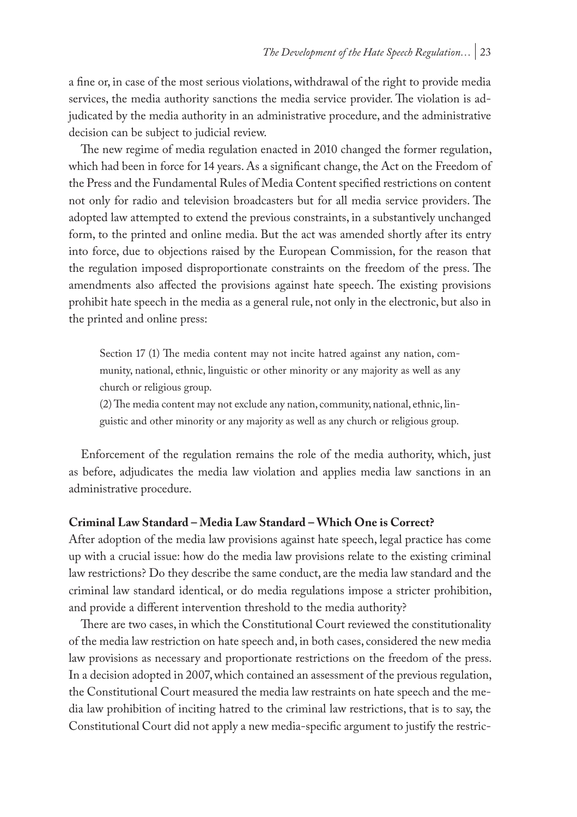a fine or, in case of the most serious violations, withdrawal of the right to provide media services, the media authority sanctions the media service provider. The violation is adjudicated by the media authority in an administrative procedure, and the administrative decision can be subject to judicial review.

The new regime of media regulation enacted in 2010 changed the former regulation, which had been in force for 14 years. As a significant change, the Act on the Freedom of the Press and the Fundamental Rules of Media Content specified restrictions on content not only for radio and television broadcasters but for all media service providers. The adopted law attempted to extend the previous constraints, in a substantively unchanged form, to the printed and online media. But the act was amended shortly after its entry into force, due to objections raised by the European Commission, for the reason that the regulation imposed disproportionate constraints on the freedom of the press. The amendments also affected the provisions against hate speech. The existing provisions prohibit hate speech in the media as a general rule, not only in the electronic, but also in the printed and online press:

Section 17 (1) The media content may not incite hatred against any nation, community, national, ethnic, linguistic or other minority or any majority as well as any church or religious group.

(2) The media content may not exclude any nation, community, national, ethnic, linguistic and other minority or any majority as well as any church or religious group.

Enforcement of the regulation remains the role of the media authority, which, just as before, adjudicates the media law violation and applies media law sanctions in an administrative procedure.

## **Criminal Law Standard – Media Law Standard – Which One is Correct?**

After adoption of the media law provisions against hate speech, legal practice has come up with a crucial issue: how do the media law provisions relate to the existing criminal law restrictions? Do they describe the same conduct, are the media law standard and the criminal law standard identical, or do media regulations impose a stricter prohibition, and provide a different intervention threshold to the media authority?

There are two cases, in which the Constitutional Court reviewed the constitutionality of the media law restriction on hate speech and, in both cases, considered the new media law provisions as necessary and proportionate restrictions on the freedom of the press. In a decision adopted in 2007, which contained an assessment of the previous regulation, the Constitutional Court measured the media law restraints on hate speech and the media law prohibition of inciting hatred to the criminal law restrictions, that is to say, the Constitutional Court did not apply a new media-specific argument to justify the restric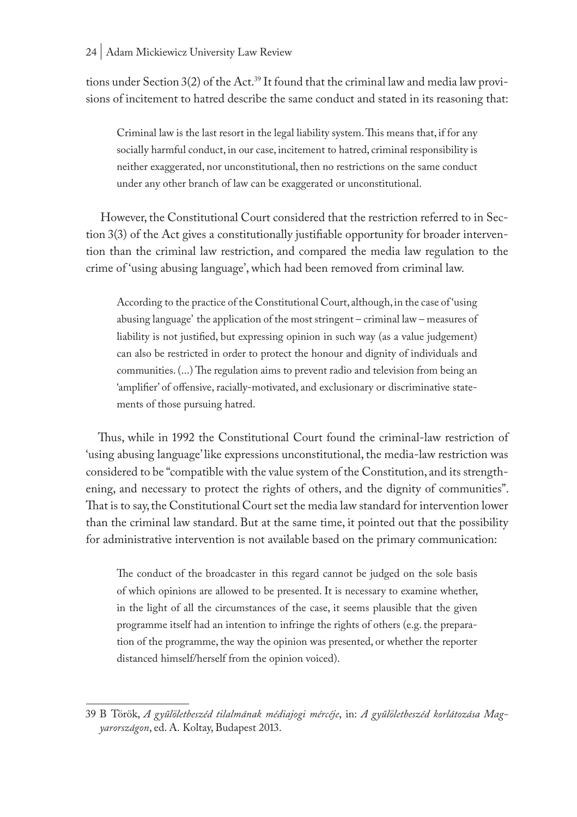tions under Section 3(2) of the Act.<sup>39</sup> It found that the criminal law and media law provisions of incitement to hatred describe the same conduct and stated in its reasoning that:

Criminal law is the last resort in the legal liability system. This means that, if for any socially harmful conduct, in our case, incitement to hatred, criminal responsibility is neither exaggerated, nor unconstitutional, then no restrictions on the same conduct under any other branch of law can be exaggerated or unconstitutional.

However, the Constitutional Court considered that the restriction referred to in Section 3(3) of the Act gives a constitutionally justifiable opportunity for broader intervention than the criminal law restriction, and compared the media law regulation to the crime of 'using abusing language', which had been removed from criminal law.

According to the practice of the Constitutional Court, although, in the case of 'using abusing language' the application of the most stringent – criminal law – measures of liability is not justified, but expressing opinion in such way (as a value judgement) can also be restricted in order to protect the honour and dignity of individuals and communities. (...) The regulation aims to prevent radio and television from being an 'amplifier' of offensive, racially-motivated, and exclusionary or discriminative statements of those pursuing hatred.

Thus, while in 1992 the Constitutional Court found the criminal-law restriction of 'using abusing language' like expressions unconstitutional, the media-law restriction was considered to be "compatible with the value system of the Constitution, and its strengthening, and necessary to protect the rights of others, and the dignity of communities". That is to say, the Constitutional Court set the media law standard for intervention lower than the criminal law standard. But at the same time, it pointed out that the possibility for administrative intervention is not available based on the primary communication:

The conduct of the broadcaster in this regard cannot be judged on the sole basis of which opinions are allowed to be presented. It is necessary to examine whether, in the light of all the circumstances of the case, it seems plausible that the given programme itself had an intention to infringe the rights of others (e.g. the preparation of the programme, the way the opinion was presented, or whether the reporter distanced himself/herself from the opinion voiced).

<sup>39</sup> B Török, *A gyűlöletbeszéd tilalmának médiajogi mércéje*, in: *A gyűlöletbeszéd korlátozása Magyarországon*, ed. A. Koltay, Budapest 2013.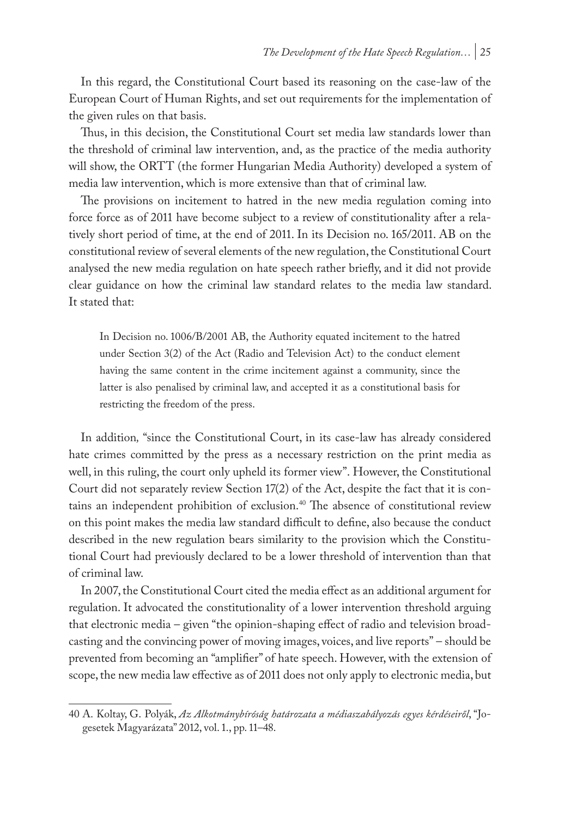In this regard, the Constitutional Court based its reasoning on the case-law of the European Court of Human Rights, and set out requirements for the implementation of the given rules on that basis.

Thus, in this decision, the Constitutional Court set media law standards lower than the threshold of criminal law intervention, and, as the practice of the media authority will show, the ORTT (the former Hungarian Media Authority) developed a system of media law intervention, which is more extensive than that of criminal law.

The provisions on incitement to hatred in the new media regulation coming into force force as of 2011 have become subject to a review of constitutionality after a relatively short period of time, at the end of 2011. In its Decision no. 165/2011. AB on the constitutional review of several elements of the new regulation, the Constitutional Court analysed the new media regulation on hate speech rather briefly, and it did not provide clear guidance on how the criminal law standard relates to the media law standard. It stated that:

In Decision no. 1006/B/2001 AB, the Authority equated incitement to the hatred under Section 3(2) of the Act (Radio and Television Act) to the conduct element having the same content in the crime incitement against a community, since the latter is also penalised by criminal law, and accepted it as a constitutional basis for restricting the freedom of the press.

In addition*,* "since the Constitutional Court, in its case-law has already considered hate crimes committed by the press as a necessary restriction on the print media as well, in this ruling, the court only upheld its former view". However, the Constitutional Court did not separately review Section 17(2) of the Act, despite the fact that it is contains an independent prohibition of exclusion.40 The absence of constitutional review on this point makes the media law standard difficult to define, also because the conduct described in the new regulation bears similarity to the provision which the Constitutional Court had previously declared to be a lower threshold of intervention than that of criminal law.

In 2007, the Constitutional Court cited the media effect as an additional argument for regulation. It advocated the constitutionality of a lower intervention threshold arguing that electronic media – given "the opinion-shaping effect of radio and television broadcasting and the convincing power of moving images, voices, and live reports" – should be prevented from becoming an "amplifier" of hate speech. However, with the extension of scope, the new media law effective as of 2011 does not only apply to electronic media, but

<sup>40</sup> A. Koltay, G. Polyák, *Az Alkotmánybíróság határozata a médiaszabályozás egyes kérdéseiről*, "Jogesetek Magyarázata" 2012, vol. 1., pp. 11–48.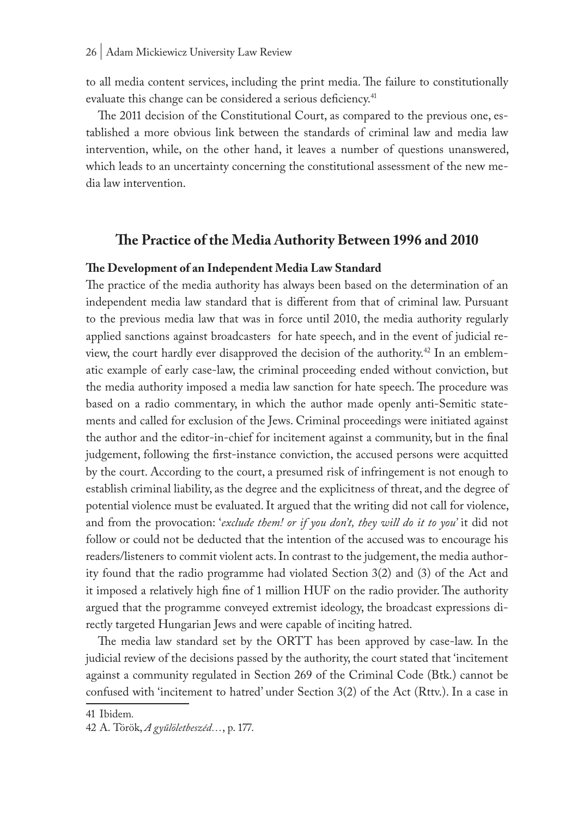to all media content services, including the print media. The failure to constitutionally evaluate this change can be considered a serious deficiency.<sup>41</sup>

The 2011 decision of the Constitutional Court, as compared to the previous one, established a more obvious link between the standards of criminal law and media law intervention, while, on the other hand, it leaves a number of questions unanswered, which leads to an uncertainty concerning the constitutional assessment of the new media law intervention.

## **The Practice of the Media Authority Between 1996 and 2010**

#### **The Development of an Independent Media Law Standard**

The practice of the media authority has always been based on the determination of an independent media law standard that is different from that of criminal law. Pursuant to the previous media law that was in force until 2010, the media authority regularly applied sanctions against broadcasters for hate speech, and in the event of judicial review, the court hardly ever disapproved the decision of the authority.<sup>42</sup> In an emblematic example of early case-law, the criminal proceeding ended without conviction, but the media authority imposed a media law sanction for hate speech. The procedure was based on a radio commentary, in which the author made openly anti-Semitic statements and called for exclusion of the Jews. Criminal proceedings were initiated against the author and the editor-in-chief for incitement against a community, but in the final judgement, following the first-instance conviction, the accused persons were acquitted by the court. According to the court, a presumed risk of infringement is not enough to establish criminal liability, as the degree and the explicitness of threat, and the degree of potential violence must be evaluated. It argued that the writing did not call for violence, and from the provocation: '*exclude them! or if you don't, they will do it to you'* it did not follow or could not be deducted that the intention of the accused was to encourage his readers/listeners to commit violent acts. In contrast to the judgement, the media authority found that the radio programme had violated Section 3(2) and (3) of the Act and it imposed a relatively high fine of 1 million HUF on the radio provider. The authority argued that the programme conveyed extremist ideology, the broadcast expressions directly targeted Hungarian Jews and were capable of inciting hatred.

The media law standard set by the ORTT has been approved by case-law. In the judicial review of the decisions passed by the authority, the court stated that 'incitement against a community regulated in Section 269 of the Criminal Code (Btk.) cannot be confused with 'incitement to hatred' under Section 3(2) of the Act (Rttv.). In a case in

<sup>41</sup> Ibidem*.*

<sup>42</sup> A. Török, *A gyűlöletbeszéd…*, p. 177.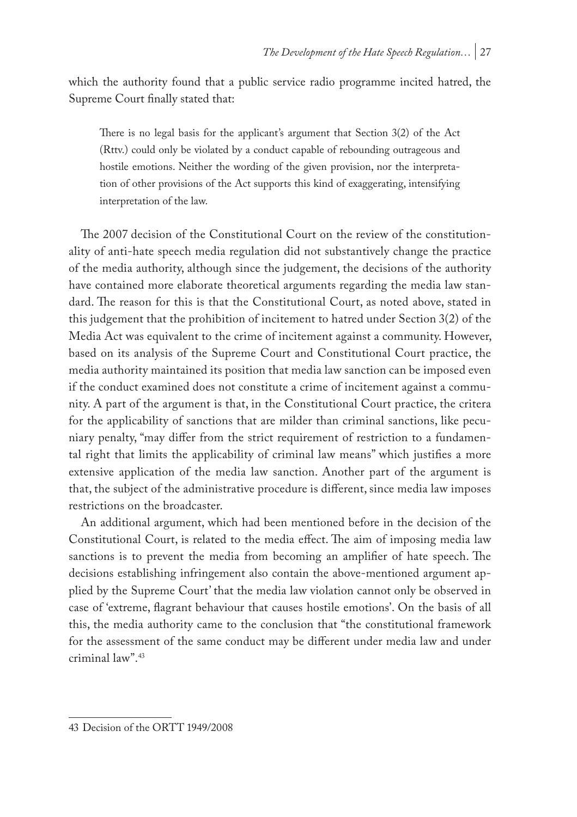which the authority found that a public service radio programme incited hatred, the Supreme Court finally stated that:

There is no legal basis for the applicant's argument that Section 3(2) of the Act (Rttv.) could only be violated by a conduct capable of rebounding outrageous and hostile emotions. Neither the wording of the given provision, nor the interpretation of other provisions of the Act supports this kind of exaggerating, intensifying interpretation of the law.

The 2007 decision of the Constitutional Court on the review of the constitutionality of anti-hate speech media regulation did not substantively change the practice of the media authority, although since the judgement, the decisions of the authority have contained more elaborate theoretical arguments regarding the media law standard. The reason for this is that the Constitutional Court, as noted above, stated in this judgement that the prohibition of incitement to hatred under Section 3(2) of the Media Act was equivalent to the crime of incitement against a community. However, based on its analysis of the Supreme Court and Constitutional Court practice, the media authority maintained its position that media law sanction can be imposed even if the conduct examined does not constitute a crime of incitement against a community. A part of the argument is that, in the Constitutional Court practice, the critera for the applicability of sanctions that are milder than criminal sanctions, like pecuniary penalty, "may differ from the strict requirement of restriction to a fundamental right that limits the applicability of criminal law means" which justifies a more extensive application of the media law sanction. Another part of the argument is that, the subject of the administrative procedure is different, since media law imposes restrictions on the broadcaster.

An additional argument, which had been mentioned before in the decision of the Constitutional Court, is related to the media effect. The aim of imposing media law sanctions is to prevent the media from becoming an amplifier of hate speech. The decisions establishing infringement also contain the above-mentioned argument applied by the Supreme Court' that the media law violation cannot only be observed in case of 'extreme, flagrant behaviour that causes hostile emotions'. On the basis of all this, the media authority came to the conclusion that "the constitutional framework for the assessment of the same conduct may be different under media law and under criminal law".43

<sup>43</sup> Decision of the ORTT 1949/2008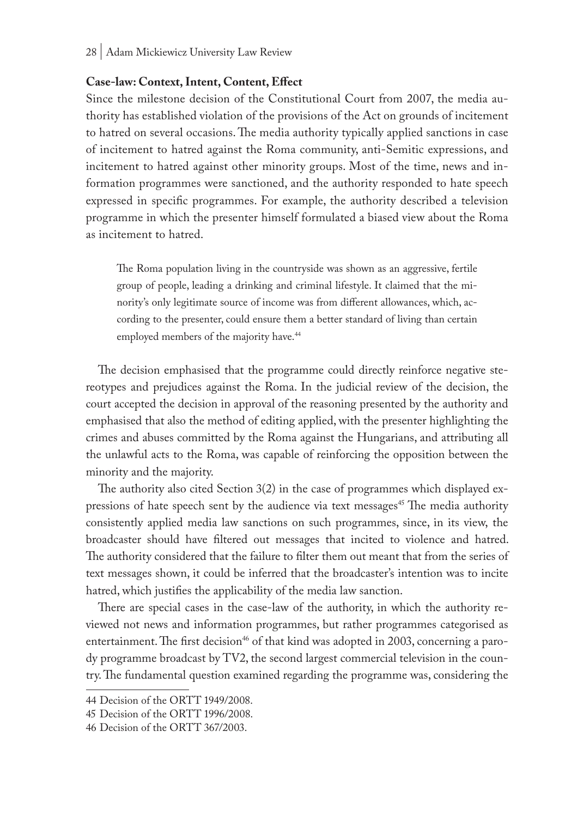#### **Case-law: Context, Intent, Content, Effect**

Since the milestone decision of the Constitutional Court from 2007, the media authority has established violation of the provisions of the Act on grounds of incitement to hatred on several occasions. The media authority typically applied sanctions in case of incitement to hatred against the Roma community, anti-Semitic expressions, and incitement to hatred against other minority groups. Most of the time, news and information programmes were sanctioned, and the authority responded to hate speech expressed in specific programmes. For example, the authority described a television programme in which the presenter himself formulated a biased view about the Roma as incitement to hatred.

The Roma population living in the countryside was shown as an aggressive, fertile group of people, leading a drinking and criminal lifestyle. It claimed that the minority's only legitimate source of income was from different allowances, which, according to the presenter, could ensure them a better standard of living than certain employed members of the majority have.<sup>44</sup>

The decision emphasised that the programme could directly reinforce negative stereotypes and prejudices against the Roma. In the judicial review of the decision, the court accepted the decision in approval of the reasoning presented by the authority and emphasised that also the method of editing applied, with the presenter highlighting the crimes and abuses committed by the Roma against the Hungarians, and attributing all the unlawful acts to the Roma, was capable of reinforcing the opposition between the minority and the majority.

The authority also cited Section 3(2) in the case of programmes which displayed expressions of hate speech sent by the audience via text messages<sup>45</sup> The media authority consistently applied media law sanctions on such programmes, since, in its view, the broadcaster should have filtered out messages that incited to violence and hatred. The authority considered that the failure to filter them out meant that from the series of text messages shown, it could be inferred that the broadcaster's intention was to incite hatred, which justifies the applicability of the media law sanction.

There are special cases in the case-law of the authority, in which the authority reviewed not news and information programmes, but rather programmes categorised as entertainment. The first decision<sup>46</sup> of that kind was adopted in 2003, concerning a parody programme broadcast by TV2, the second largest commercial television in the country. The fundamental question examined regarding the programme was, considering the

<sup>44</sup> Decision of the ORTT 1949/2008.

<sup>45</sup> Decision of the ORTT 1996/2008.

<sup>46</sup> Decision of the ORTT 367/2003.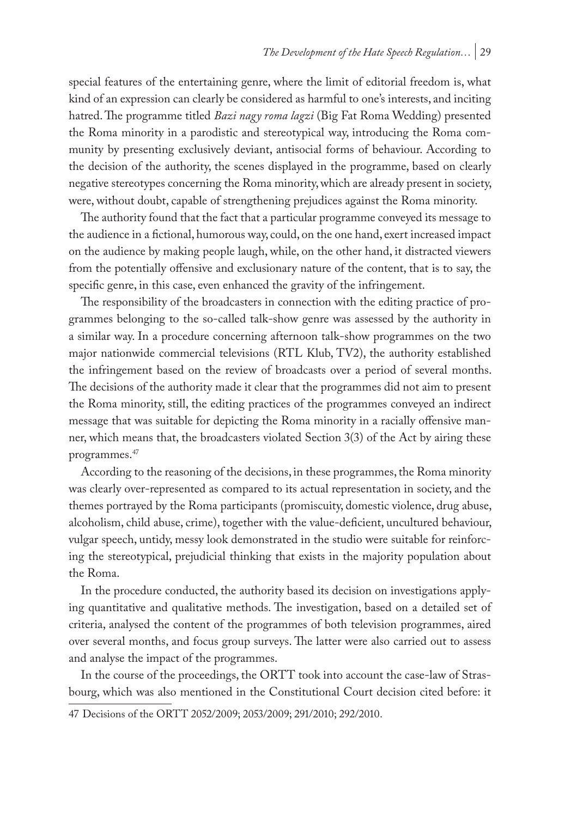special features of the entertaining genre, where the limit of editorial freedom is, what kind of an expression can clearly be considered as harmful to one's interests, and inciting hatred. The programme titled *Bazi nagy roma lagzi* (Big Fat Roma Wedding) presented the Roma minority in a parodistic and stereotypical way, introducing the Roma community by presenting exclusively deviant, antisocial forms of behaviour. According to the decision of the authority, the scenes displayed in the programme, based on clearly negative stereotypes concerning the Roma minority, which are already present in society, were, without doubt, capable of strengthening prejudices against the Roma minority.

The authority found that the fact that a particular programme conveyed its message to the audience in a fictional, humorous way, could, on the one hand, exert increased impact on the audience by making people laugh, while, on the other hand, it distracted viewers from the potentially offensive and exclusionary nature of the content, that is to say, the specific genre, in this case, even enhanced the gravity of the infringement.

The responsibility of the broadcasters in connection with the editing practice of programmes belonging to the so-called talk-show genre was assessed by the authority in a similar way. In a procedure concerning afternoon talk-show programmes on the two major nationwide commercial televisions (RTL Klub, TV2), the authority established the infringement based on the review of broadcasts over a period of several months. The decisions of the authority made it clear that the programmes did not aim to present the Roma minority, still, the editing practices of the programmes conveyed an indirect message that was suitable for depicting the Roma minority in a racially offensive manner, which means that, the broadcasters violated Section 3(3) of the Act by airing these programmes.47

According to the reasoning of the decisions, in these programmes, the Roma minority was clearly over-represented as compared to its actual representation in society, and the themes portrayed by the Roma participants (promiscuity, domestic violence, drug abuse, alcoholism, child abuse, crime), together with the value-deficient, uncultured behaviour, vulgar speech, untidy, messy look demonstrated in the studio were suitable for reinforcing the stereotypical, prejudicial thinking that exists in the majority population about the Roma.

In the procedure conducted, the authority based its decision on investigations applying quantitative and qualitative methods. The investigation, based on a detailed set of criteria, analysed the content of the programmes of both television programmes, aired over several months, and focus group surveys. The latter were also carried out to assess and analyse the impact of the programmes.

In the course of the proceedings, the ORTT took into account the case-law of Strasbourg, which was also mentioned in the Constitutional Court decision cited before: it

<sup>47</sup> Decisions of the ORTT 2052/2009; 2053/2009; 291/2010; 292/2010.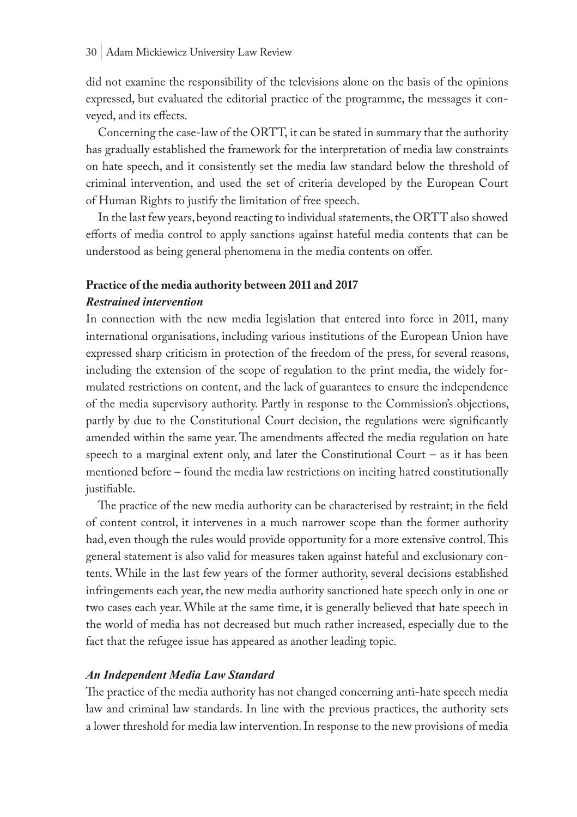did not examine the responsibility of the televisions alone on the basis of the opinions expressed, but evaluated the editorial practice of the programme, the messages it conveyed, and its effects.

Concerning the case-law of the ORTT, it can be stated in summary that the authority has gradually established the framework for the interpretation of media law constraints on hate speech, and it consistently set the media law standard below the threshold of criminal intervention, and used the set of criteria developed by the European Court of Human Rights to justify the limitation of free speech.

In the last few years, beyond reacting to individual statements, the ORTT also showed efforts of media control to apply sanctions against hateful media contents that can be understood as being general phenomena in the media contents on offer.

## **Practice of the media authority between 2011 and 2017**

### *Restrained intervention*

In connection with the new media legislation that entered into force in 2011, many international organisations, including various institutions of the European Union have expressed sharp criticism in protection of the freedom of the press, for several reasons, including the extension of the scope of regulation to the print media, the widely formulated restrictions on content, and the lack of guarantees to ensure the independence of the media supervisory authority. Partly in response to the Commission's objections, partly by due to the Constitutional Court decision, the regulations were significantly amended within the same year. The amendments affected the media regulation on hate speech to a marginal extent only, and later the Constitutional Court – as it has been mentioned before – found the media law restrictions on inciting hatred constitutionally justifiable.

The practice of the new media authority can be characterised by restraint; in the field of content control, it intervenes in a much narrower scope than the former authority had, even though the rules would provide opportunity for a more extensive control. This general statement is also valid for measures taken against hateful and exclusionary contents. While in the last few years of the former authority, several decisions established infringements each year, the new media authority sanctioned hate speech only in one or two cases each year. While at the same time, it is generally believed that hate speech in the world of media has not decreased but much rather increased, especially due to the fact that the refugee issue has appeared as another leading topic.

#### *An Independent Media Law Standard*

The practice of the media authority has not changed concerning anti-hate speech media law and criminal law standards. In line with the previous practices, the authority sets a lower threshold for media law intervention. In response to the new provisions of media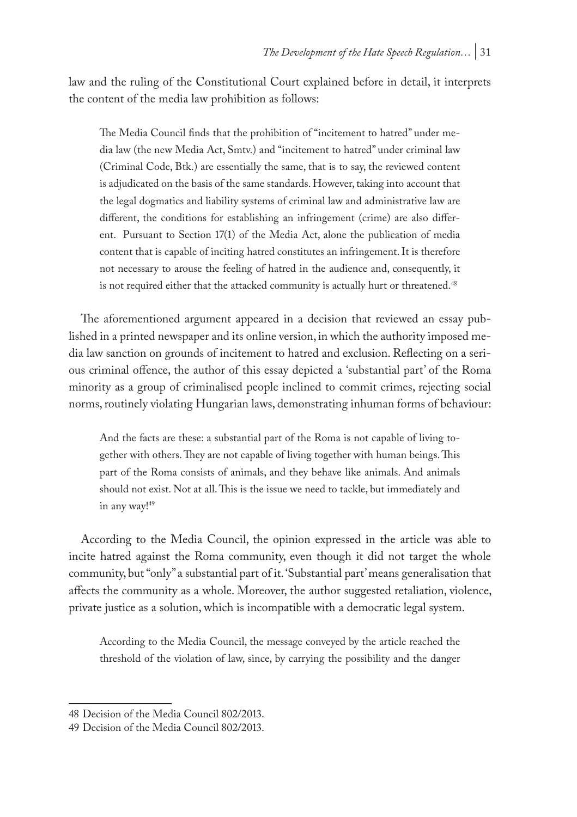law and the ruling of the Constitutional Court explained before in detail, it interprets the content of the media law prohibition as follows:

The Media Council finds that the prohibition of "incitement to hatred" under media law (the new Media Act, Smtv.) and "incitement to hatred" under criminal law (Criminal Code, Btk.) are essentially the same, that is to say, the reviewed content is adjudicated on the basis of the same standards. However, taking into account that the legal dogmatics and liability systems of criminal law and administrative law are different, the conditions for establishing an infringement (crime) are also different. Pursuant to Section 17(1) of the Media Act, alone the publication of media content that is capable of inciting hatred constitutes an infringement. It is therefore not necessary to arouse the feeling of hatred in the audience and, consequently, it is not required either that the attacked community is actually hurt or threatened.<sup>48</sup>

The aforementioned argument appeared in a decision that reviewed an essay published in a printed newspaper and its online version, in which the authority imposed media law sanction on grounds of incitement to hatred and exclusion. Reflecting on a serious criminal offence, the author of this essay depicted a 'substantial part' of the Roma minority as a group of criminalised people inclined to commit crimes, rejecting social norms, routinely violating Hungarian laws, demonstrating inhuman forms of behaviour:

And the facts are these: a substantial part of the Roma is not capable of living together with others. They are not capable of living together with human beings. This part of the Roma consists of animals, and they behave like animals. And animals should not exist. Not at all. This is the issue we need to tackle, but immediately and in any way!<sup>49</sup>

According to the Media Council, the opinion expressed in the article was able to incite hatred against the Roma community, even though it did not target the whole community, but "only" a substantial part of it. 'Substantial part' means generalisation that affects the community as a whole. Moreover, the author suggested retaliation, violence, private justice as a solution, which is incompatible with a democratic legal system.

According to the Media Council, the message conveyed by the article reached the threshold of the violation of law, since, by carrying the possibility and the danger

<sup>48</sup> Decision of the Media Council 802/2013.

<sup>49</sup> Decision of the Media Council 802/2013.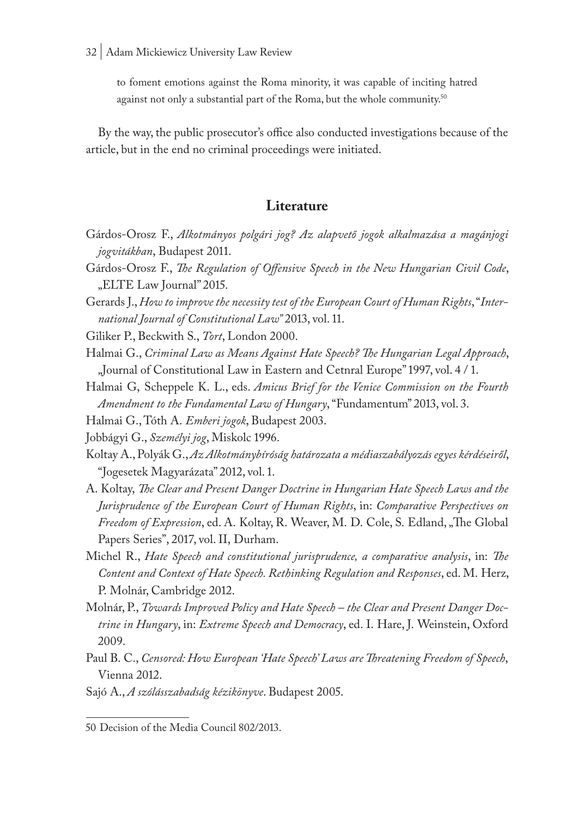to foment emotions against the Roma minority, it was capable of inciting hatred against not only a substantial part of the Roma, but the whole community.<sup>50</sup>

By the way, the public prosecutor's office also conducted investigations because of the article, but in the end no criminal proceedings were initiated.

## **Literature**

- Gárdos-Orosz F., *Alkotmányos polgári jog? Az alapvető jogok alkalmazása a magánjogi jogvitákban*, Budapest 2011.
- Gárdos-Orosz F., *The Regulation of Offensive Speech in the New Hungarian Civil Code*, "ELTE Law Journal" 2015.

Gerards J., *How to improve the necessity test of the European Court of Human Rights*, "*International Journal of Constitutional Law"* 2013, vol. 11.

- Giliker P., Beckwith S., *Tort*, London 2000.
- Halmai G., *Criminal Law as Means Against Hate Speech? The Hungarian Legal Approach*, "Journal of Constitutional Law in Eastern and Cetnral Europe" 1997, vol. 4 / 1.
- Halmai G, Scheppele K. L., eds. *Amicus Brief for the Venice Commission on the Fourth Amendment to the Fundamental Law of Hungary*, "Fundamentum" 2013, vol. 3.
- Halmai G., Tóth A. *Emberi jogok*, Budapest 2003.

Jobbágyi G., *Személyi jog*, Miskolc 1996.

- Koltay A., Polyák G., *Az Alkotmánybíróság határozata a médiaszabályozás egyes kérdéseiről*, "Jogesetek Magyarázata" 2012, vol. 1.
- A. Koltay, *The Clear and Present Danger Doctrine in Hungarian Hate Speech Laws and the Jurisprudence of the European Court of Human Rights*, in: *Comparative Perspectives on Freedom of Expression*, ed. A. Koltay, R. Weaver, M. D. Cole, S. Edland, "The Global Papers Series", 2017, vol. II, Durham.
- Michel R., *Hate Speech and constitutional jurisprudence, a comparative analysis*, in: *The Content and Context of Hate Speech. Rethinking Regulation and Responses*, ed. M. Herz, P. Molnár, Cambridge 2012.
- Molnár, P., *Towards Improved Policy and Hate Speech the Clear and Present Danger Doctrine in Hungary*, in: *Extreme Speech and Democracy*, ed. I. Hare, J. Weinstein, Oxford 2009.
- Paul B. C., *Censored: How European 'Hate Speech' Laws are Threatening Freedom of Speech*, Vienna 2012.
- Sajó A., *A szólásszabadság kézikönyve*. Budapest 2005.

<sup>50</sup> Decision of the Media Council 802/2013.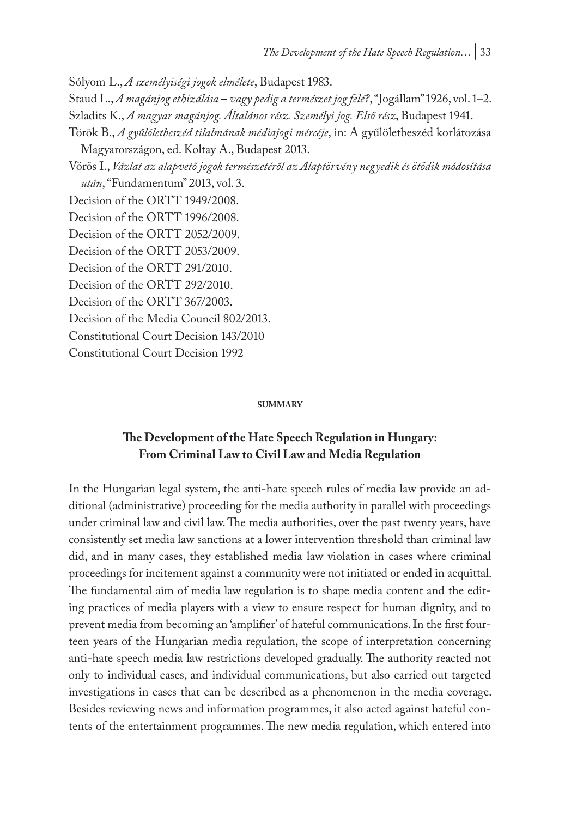Sólyom L., *A személyiségi jogok elmélete*, Budapest 1983.

Staud L., *A magánjog ethizálása – vagy pedig a természet jog felé?*, "Jogállam" 1926, vol. 1–2. Szladits K., *A magyar magánjog. Általános rész. Személyi jog. Első rész*, Budapest 1941.

Török B., *A gyűlöletbeszéd tilalmának médiajogi mércéje*, in: A gyűlöletbeszéd korlátozása

Magyarországon, ed. Koltay A., Budapest 2013.

Vörös I., *Vázlat az alapvető jogok természetéről az Alaptörvény negyedik és ötödik módosítása után*, "Fundamentum" 2013, vol. 3.

Decision of the ORTT 1949/2008.

Decision of the ORTT 1996/2008.

Decision of the ORTT 2052/2009.

Decision of the ORTT 2053/2009.

Decision of the ORTT 291/2010.

Decision of the ORTT 292/2010.

Decision of the ORTT 367/2003.

Decision of the Media Council 802/2013.

Constitutional Court Decision 143/2010

Constitutional Court Decision 1992

#### **summary**

## **The Development of the Hate Speech Regulation in Hungary: From Criminal Law to Civil Law and Media Regulation**

In the Hungarian legal system, the anti-hate speech rules of media law provide an additional (administrative) proceeding for the media authority in parallel with proceedings under criminal law and civil law. The media authorities, over the past twenty years, have consistently set media law sanctions at a lower intervention threshold than criminal law did, and in many cases, they established media law violation in cases where criminal proceedings for incitement against a community were not initiated or ended in acquittal. The fundamental aim of media law regulation is to shape media content and the editing practices of media players with a view to ensure respect for human dignity, and to prevent media from becoming an 'amplifier' of hateful communications. In the first fourteen years of the Hungarian media regulation, the scope of interpretation concerning anti-hate speech media law restrictions developed gradually. The authority reacted not only to individual cases, and individual communications, but also carried out targeted investigations in cases that can be described as a phenomenon in the media coverage. Besides reviewing news and information programmes, it also acted against hateful contents of the entertainment programmes. The new media regulation, which entered into